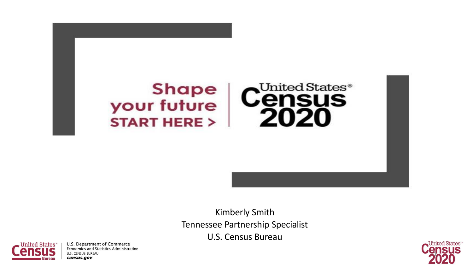

Kimberly Smith Tennessee Partnership Specialist U.S. Census Bureau



U.S. Department of Commerce **Economics and Statistics Administration U.S. CENSUS BUREAU** census.gov

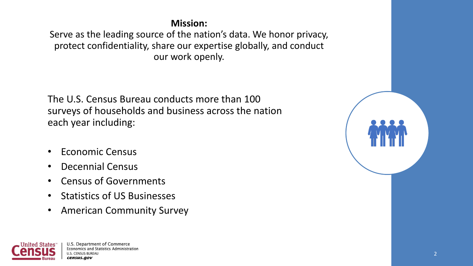#### **Mission:**

Serve as the leading source of the nation's data. We honor privacy, protect confidentiality, share our expertise globally, and conduct our work openly.

The U.S. Census Bureau conducts more than 100 surveys of households and business across the nation each year including:

- Economic Census
- Decennial Census
- Census of Governments
- Statistics of US Businesses
- American Community Survey

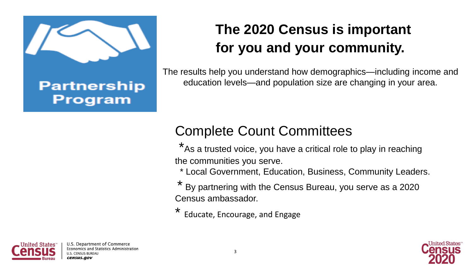

### **Partnership Program**

## **The 2020 Census is important for you and your community.**

The results help you understand how demographics—including income and education levels—and population size are changing in your area.

## Complete Count Committees

\*As a trusted voice, you have a critical role to play in reaching the communities you serve.

\* Local Government, Education, Business, Community Leaders.

By partnering with the Census Bureau, you serve as a 2020 Census ambassador.

Educate, Encourage, and Engage

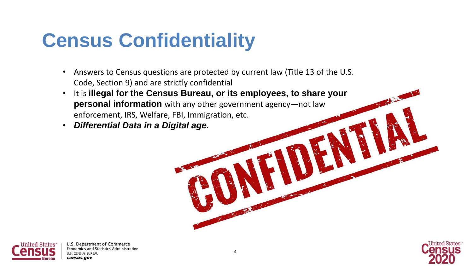## **Census Confidentiality**

- Answers to Census questions are protected by current law (Title 13 of the U.S. Code, Section 9) and are strictly confidential
- It is **illegal for the Census Bureau, or its employees, to share your personal information** with any other government agency—not law enforcement, IRS, Welfare, FBI, Immigration, etc.
- *Differential Data in a Digital age.*



U.S. Department of Commerce Economics and Statistics Administration **ILS. CENSUS BUREAU** census.aov

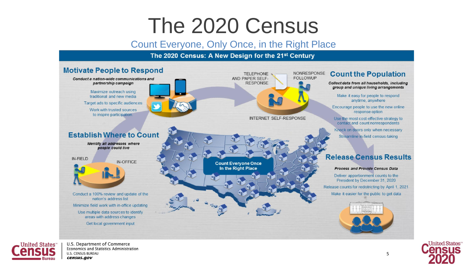## The 2020 Census

#### Count Everyone, Only Once, in the Right Place

#### The 2020 Census: A New Design for the 21st Century





U.S. Department of Commerce Economics and Statistics Administration **U.S. CENSUS BUREAU** census.gov

5

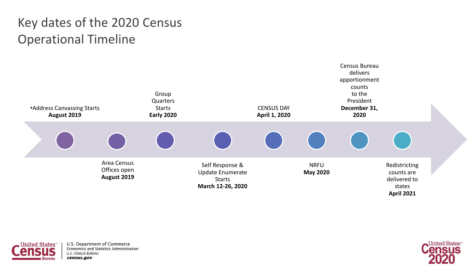### Key dates of the 2020 Census Operational Timeline